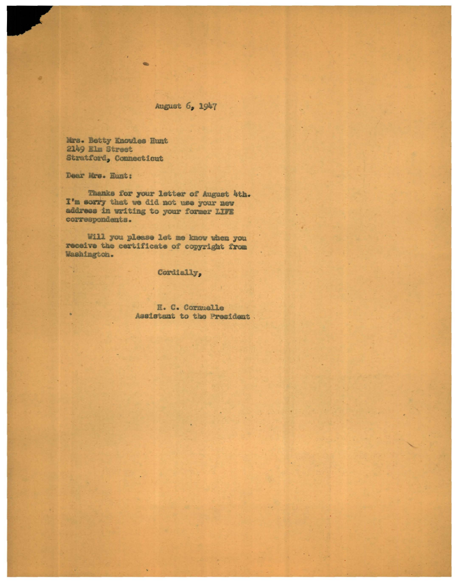## August 6, 1947

Mrs. Betty Knowles Hunt 2149 Elm Street Stratford, Connecticut

Dear Mrs. Hunt:

W

Thanks for your letter of August 4th. I'm sorry that we did not use your new address in writing to your former LIFE correspondents.

 $\bullet$ 

Will you please let me know when you receive the certificate of copyright from Washington.

Cordially,

E. C. Cornuelle Assistant to the President